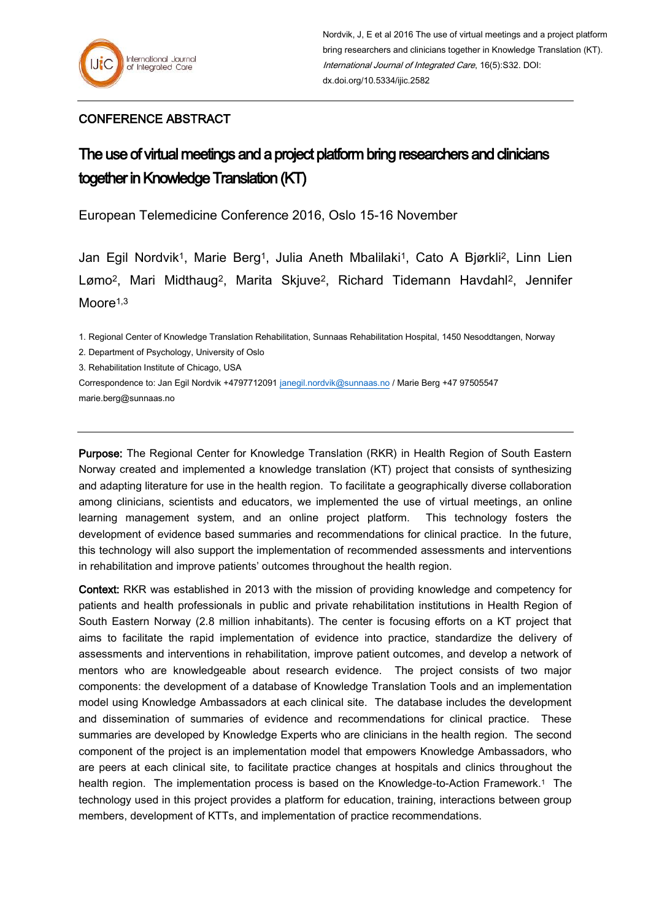## CONFERENCE ABSTRACT

## The use of virtual meetings and a project platform bring researchers and clinicians together in Knowledge Translation (KT)

European Telemedicine Conference 2016, Oslo 15-16 November

Jan Egil Nordvik1, Marie Berg1, Julia Aneth Mbalilaki1, Cato A Bjørkli2, Linn Lien Lømo2, Mari Midthaug2, Marita Skjuve2, Richard Tidemann Havdahl2, Jennifer  $M$ oore<sup> $1,3$ </sup>

1. Regional Center of Knowledge Translation Rehabilitation, Sunnaas Rehabilitation Hospital, 1450 Nesoddtangen, Norway

2. Department of Psychology, University of Oslo

3. Rehabilitation Institute of Chicago, USA

Correspondence to: Jan Egil Nordvik +4797712091 [janegil.nordvik@sunnaas.no](mailto:janegil.nordvik@sunnaas.no) / Marie Berg +47 97505547 marie.berg@sunnaas.no

Purpose: The Regional Center for Knowledge Translation (RKR) in Health Region of South Eastern Norway created and implemented a knowledge translation (KT) project that consists of synthesizing and adapting literature for use in the health region. To facilitate a geographically diverse collaboration among clinicians, scientists and educators, we implemented the use of virtual meetings, an online learning management system, and an online project platform. This technology fosters the development of evidence based summaries and recommendations for clinical practice. In the future, this technology will also support the implementation of recommended assessments and interventions in rehabilitation and improve patients' outcomes throughout the health region.

Context: RKR was established in 2013 with the mission of providing knowledge and competency for patients and health professionals in public and private rehabilitation institutions in Health Region of South Eastern Norway (2.8 million inhabitants). The center is focusing efforts on a KT project that aims to facilitate the rapid implementation of evidence into practice, standardize the delivery of assessments and interventions in rehabilitation, improve patient outcomes, and develop a network of mentors who are knowledgeable about research evidence. The project consists of two major components: the development of a database of Knowledge Translation Tools and an implementation model using Knowledge Ambassadors at each clinical site. The database includes the development and dissemination of summaries of evidence and recommendations for clinical practice. These summaries are developed by Knowledge Experts who are clinicians in the health region. The second component of the project is an implementation model that empowers Knowledge Ambassadors, who are peers at each clinical site, to facilitate practice changes at hospitals and clinics throughout the health region. The implementation process is based on the Knowledge-to-Action Framework.<sup>1</sup> The technology used in this project provides a platform for education, training, interactions between group members, development of KTTs, and implementation of practice recommendations.